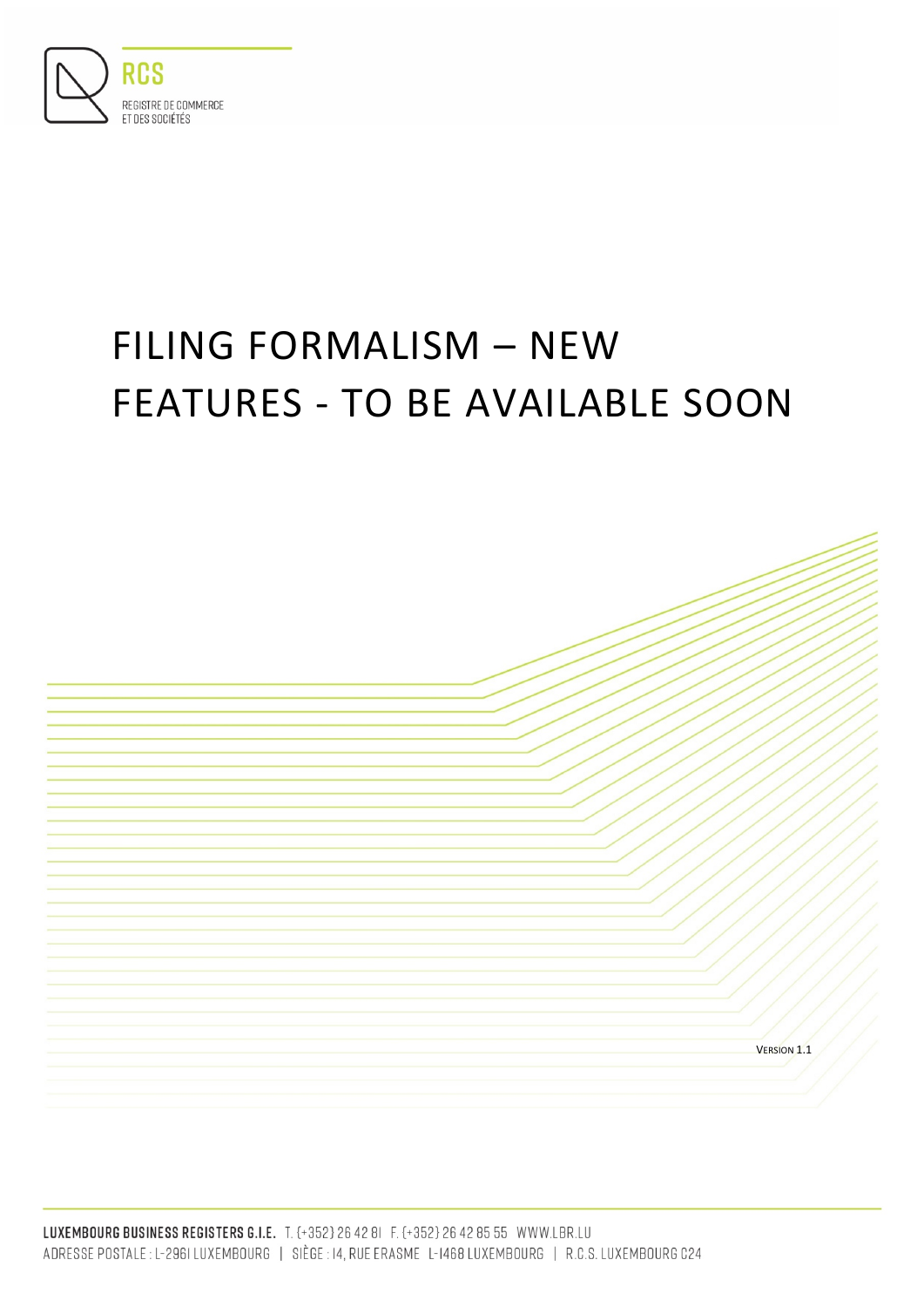

# FILING FORMALISM – NEW FEATURES - TO BE AVAILABLE SOON

VERSION 1.1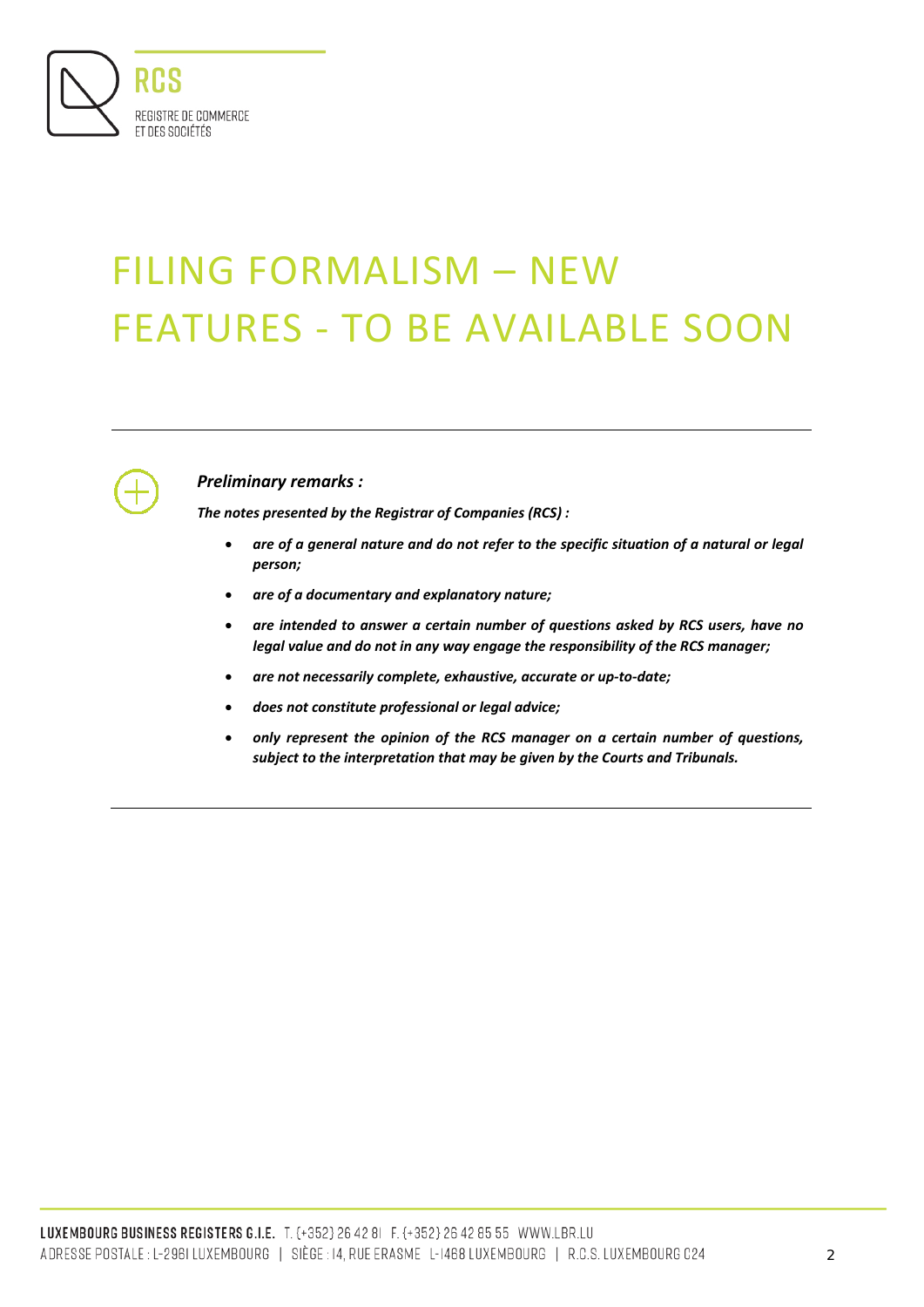

# FILING FORMALISM – NEW FEATURES - TO BE AVAILABLE SOON



# *Preliminary remarks :*

*The notes presented by the Registrar of Companies (RCS) :*

- *are of a general nature and do not refer to the specific situation of a natural or legal person;*
- *are of a documentary and explanatory nature;*
- *are intended to answer a certain number of questions asked by RCS users, have no legal value and do not in any way engage the responsibility of the RCS manager;*
- *are not necessarily complete, exhaustive, accurate or up-to-date;*
- *does not constitute professional or legal advice;*
- *only represent the opinion of the RCS manager on a certain number of questions, subject to the interpretation that may be given by the Courts and Tribunals.*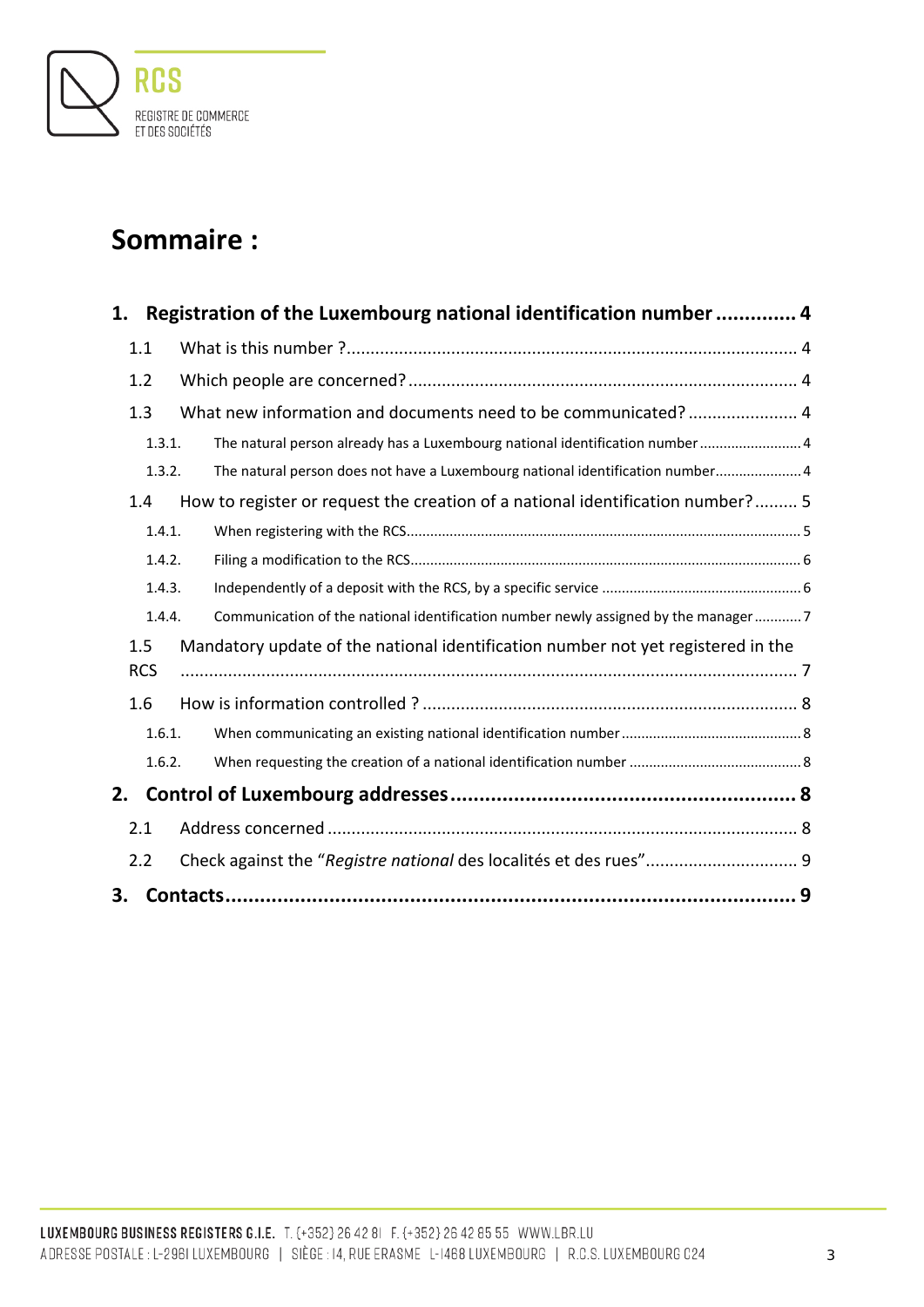

# **Sommaire :**

| 1. |            | Registration of the Luxembourg national identification number  4                   |  |
|----|------------|------------------------------------------------------------------------------------|--|
|    | 1.1        |                                                                                    |  |
|    | 1.2        |                                                                                    |  |
|    | 1.3        | What new information and documents need to be communicated? 4                      |  |
|    | 1.3.1.     | The natural person already has a Luxembourg national identification number 4       |  |
|    | 1.3.2.     | The natural person does not have a Luxembourg national identification number 4     |  |
|    | 1.4        | How to register or request the creation of a national identification number? 5     |  |
|    | 1.4.1.     |                                                                                    |  |
|    | 1.4.2.     |                                                                                    |  |
|    | 1.4.3.     |                                                                                    |  |
|    | 1.4.4.     | Communication of the national identification number newly assigned by the manager7 |  |
|    | 1.5        | Mandatory update of the national identification number not yet registered in the   |  |
|    | <b>RCS</b> |                                                                                    |  |
|    | 1.6        |                                                                                    |  |
|    | 1.6.1.     |                                                                                    |  |
|    | 1.6.2.     |                                                                                    |  |
| 2. |            |                                                                                    |  |
|    | 2.1        |                                                                                    |  |
|    | 2.2        | Check against the "Registre national des localités et des rues" 9                  |  |
| 3. |            |                                                                                    |  |
|    |            |                                                                                    |  |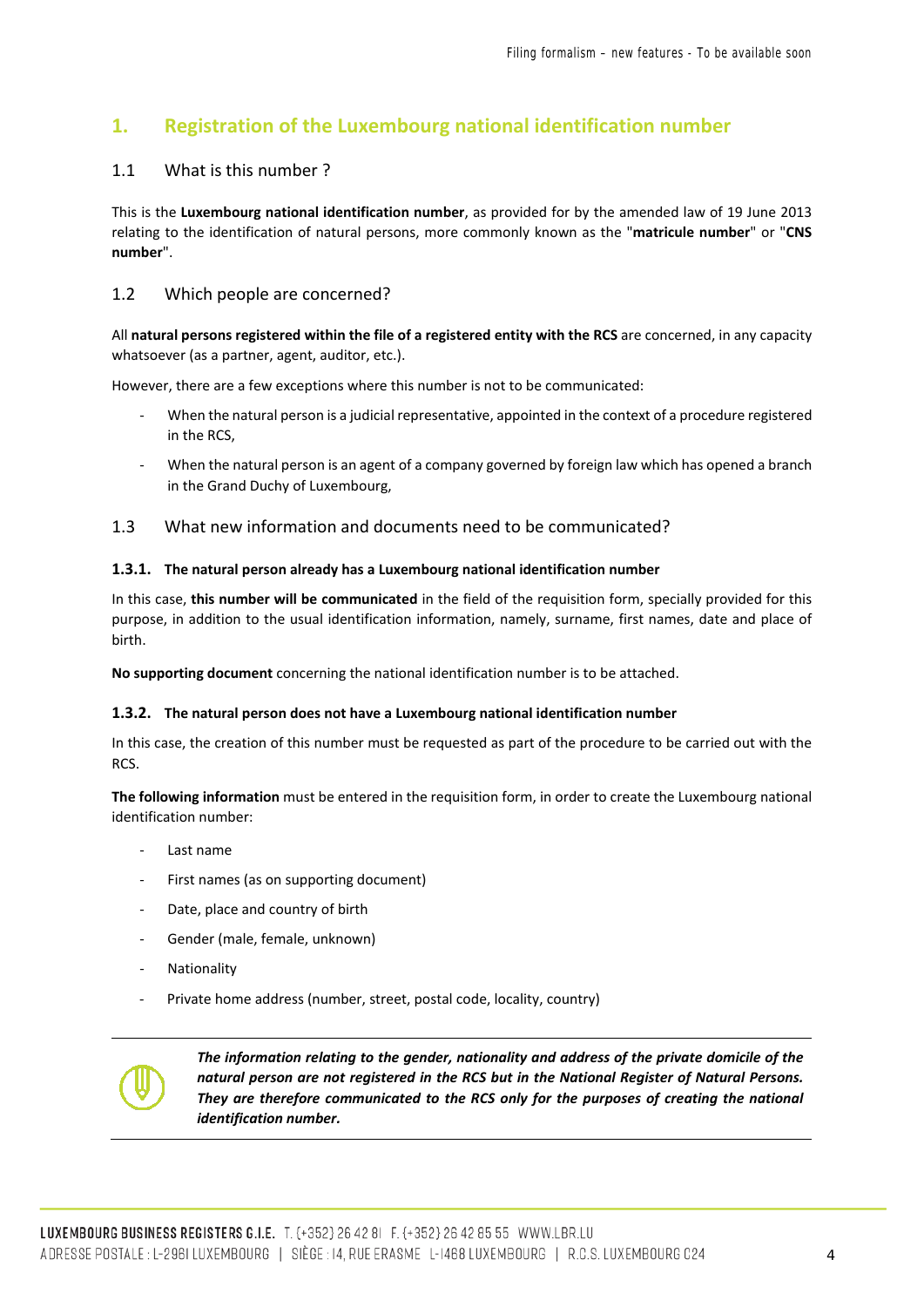# <span id="page-3-0"></span>**1. Registration of the Luxembourg national identification number**

#### <span id="page-3-1"></span>1.1 What is this number ?

This is the **Luxembourg national identification number**, as provided for by the amended law of 19 June 2013 relating to the identification of natural persons, more commonly known as the "**matricule number**" or "**CNS number**".

### <span id="page-3-2"></span>1.2 Which people are concerned?

All **natural persons registered within the file of a registered entity with the RCS** are concerned, in any capacity whatsoever (as a partner, agent, auditor, etc.).

However, there are a few exceptions where this number is not to be communicated:

- When the natural person is a judicial representative, appointed in the context of a procedure registered in the RCS,
- When the natural person is an agent of a company governed by foreign law which has opened a branch in the Grand Duchy of Luxembourg,

#### <span id="page-3-3"></span>1.3 What new information and documents need to be communicated?

#### <span id="page-3-4"></span>**1.3.1. The natural person already has a Luxembourg national identification number**

In this case, **this number will be communicated** in the field of the requisition form, specially provided for this purpose, in addition to the usual identification information, namely, surname, first names, date and place of birth.

**No supporting document** concerning the national identification number is to be attached.

#### <span id="page-3-5"></span>**1.3.2. The natural person does not have a Luxembourg national identification number**

In this case, the creation of this number must be requested as part of the procedure to be carried out with the RCS.

**The following information** must be entered in the requisition form, in order to create the Luxembourg national identification number:

- Last name
- First names (as on supporting document)
- Date, place and country of birth
- Gender (male, female, unknown)
- **Nationality**
- Private home address (number, street, postal code, locality, country)



*The information relating to the gender, nationality and address of the private domicile of the natural person are not registered in the RCS but in the National Register of Natural Persons. They are therefore communicated to the RCS only for the purposes of creating the national identification number.*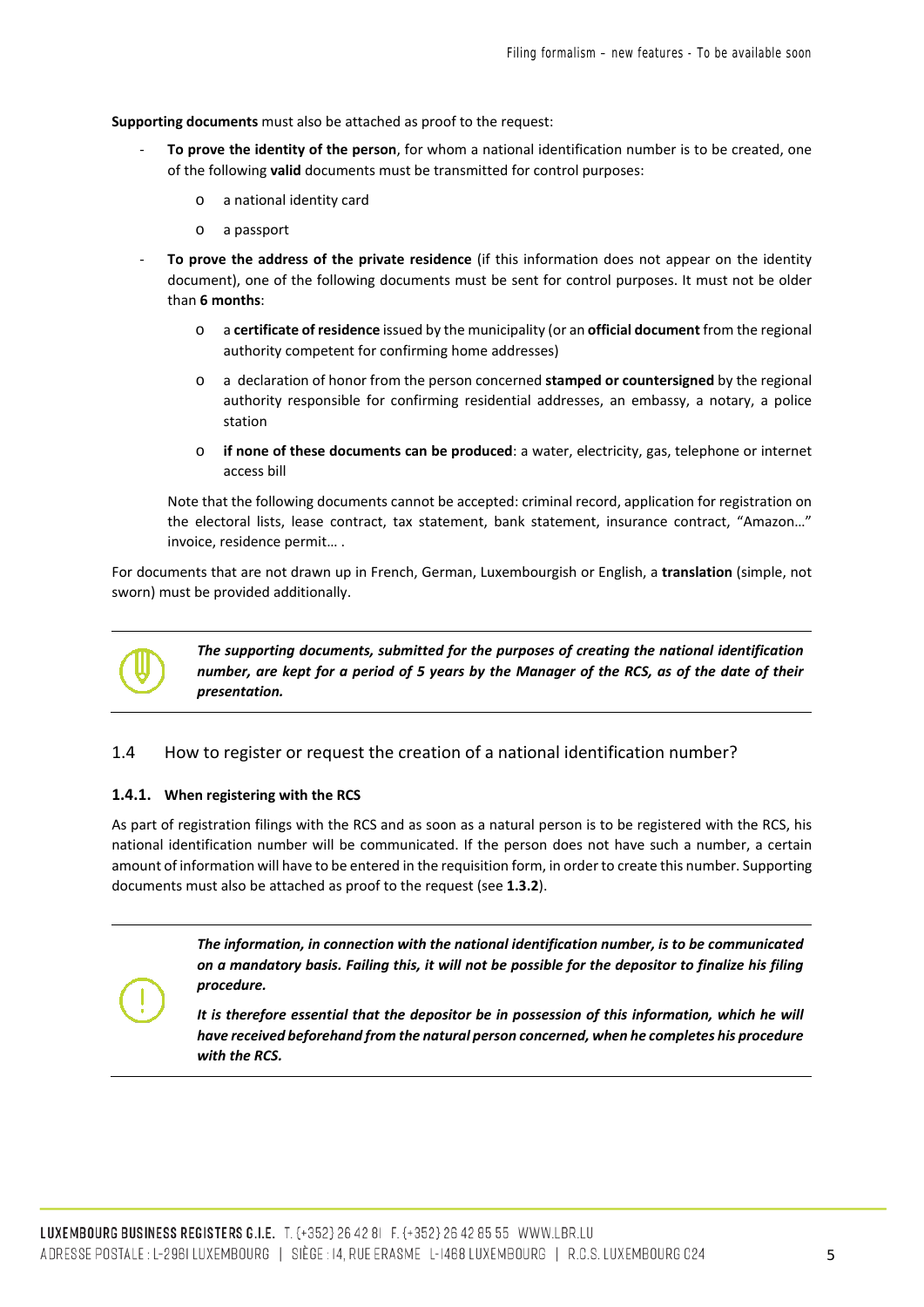**Supporting documents** must also be attached as proof to the request:

- To prove the identity of the person, for whom a national identification number is to be created, one of the following **valid** documents must be transmitted for control purposes:
	- o a national identity card
	- o a passport
- **To prove the address of the private residence** (if this information does not appear on the identity document), one of the following documents must be sent for control purposes. It must not be older than **6 months**:
	- o a **certificate of residence** issued by the municipality (or an **official document** from the regional authority competent for confirming home addresses)
	- o a declaration of honor from the person concerned **stamped or countersigned** by the regional authority responsible for confirming residential addresses, an embassy, a notary, a police station
	- o **if none of these documents can be produced**: a water, electricity, gas, telephone or internet access bill

Note that the following documents cannot be accepted: criminal record, application for registration on the electoral lists, lease contract, tax statement, bank statement, insurance contract, "Amazon…" invoice, residence permit… .

For documents that are not drawn up in French, German, Luxembourgish or English, a **translation** (simple, not sworn) must be provided additionally.



*The supporting documents, submitted for the purposes of creating the national identification number, are kept for a period of 5 years by the Manager of the RCS, as of the date of their presentation.*

#### <span id="page-4-0"></span>1.4 How to register or request the creation of a national identification number?

#### <span id="page-4-1"></span>**1.4.1. When registering with the RCS**

As part of registration filings with the RCS and as soon as a natural person is to be registered with the RCS, his national identification number will be communicated. If the person does not have such a number, a certain amount of information will have to be entered in the requisition form, in order to create this number. Supporting documents must also be attached as proof to the request (see **1.3.2**).

> *The information, in connection with the national identification number, is to be communicated on a mandatory basis. Failing this, it will not be possible for the depositor to finalize his filing procedure.*

> It is therefore essential that the depositor be in possession of this information, which he will *have received beforehand from the natural person concerned, when he completes his procedure with the RCS.*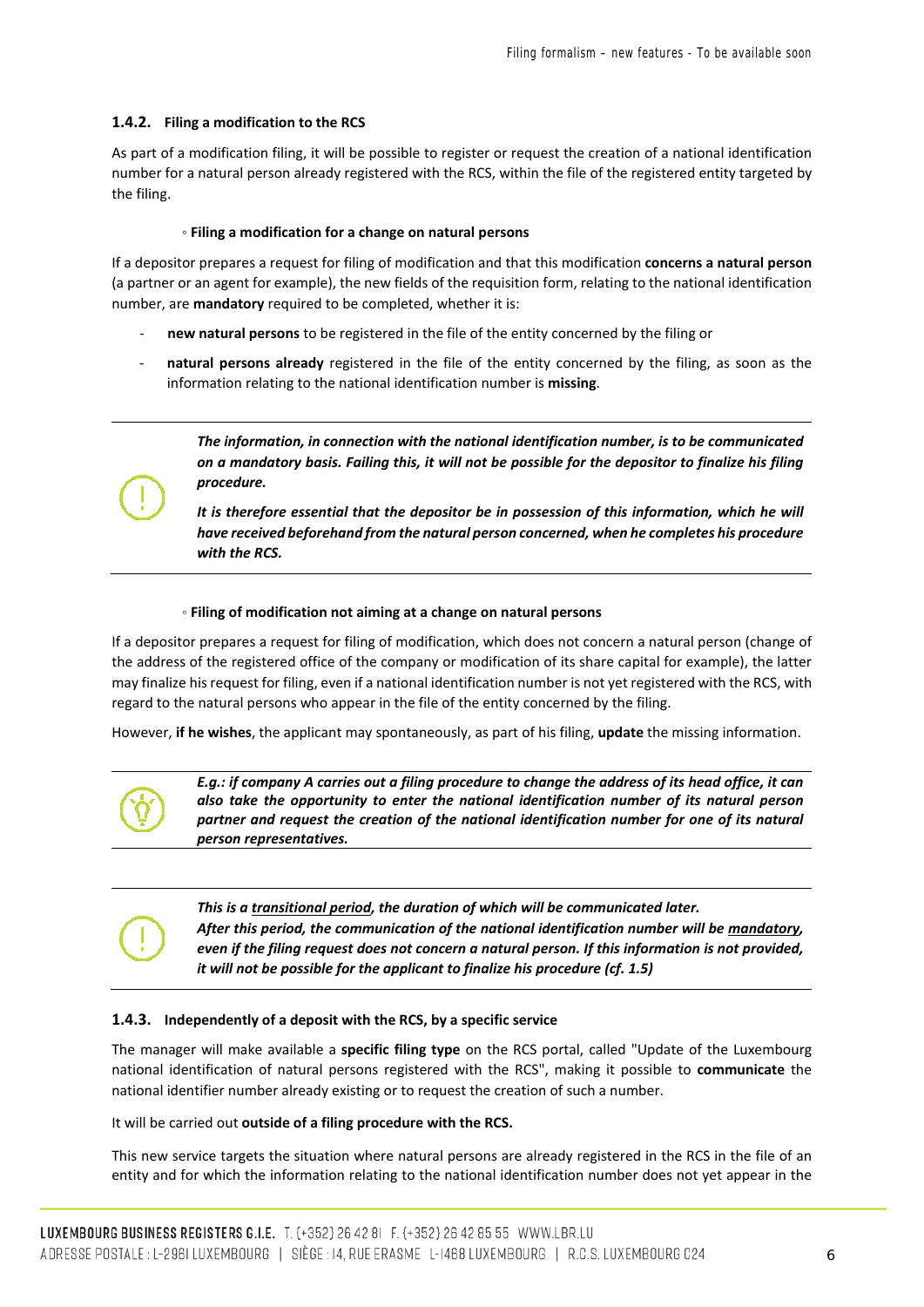#### <span id="page-5-0"></span>**1.4.2. Filing a modification to the RCS**

As part of a modification filing, it will be possible to register or request the creation of a national identification number for a natural person already registered with the RCS, within the file of the registered entity targeted by the filing.

#### ◦ **Filing a modification for a change on natural persons**

If a depositor prepares a request for filing of modification and that this modification **concerns a natural person** (a partner or an agent for example), the new fields of the requisition form, relating to the national identification number, are **mandatory** required to be completed, whether it is:

- new natural persons to be registered in the file of the entity concerned by the filing or
- natural persons already registered in the file of the entity concerned by the filing, as soon as the information relating to the national identification number is **missing**.

*The information, in connection with the national identification number, is to be communicated on a mandatory basis. Failing this, it will not be possible for the depositor to finalize his filing procedure.*

It is therefore essential that the depositor be in possession of this information, which he will *have received beforehand from the natural person concerned, when he completes his procedure with the RCS.*

#### ◦ **Filing of modification not aiming at a change on natural persons**

If a depositor prepares a request for filing of modification, which does not concern a natural person (change of the address of the registered office of the company or modification of its share capital for example), the latter may finalize his request for filing, even if a national identification number is not yet registered with the RCS, with regard to the natural persons who appear in the file of the entity concerned by the filing.

However, **if he wishes**, the applicant may spontaneously, as part of his filing, **update** the missing information.



*E.g.: if company A carries out a filing procedure to change the address of its head office, it can also take the opportunity to enter the national identification number of its natural person partner and request the creation of the national identification number for one of its natural person representatives.*



#### <span id="page-5-1"></span>**1.4.3. Independently of a deposit with the RCS, by a specific service**

The manager will make available a **specific filing type** on the RCS portal, called "Update of the Luxembourg national identification of natural persons registered with the RCS", making it possible to **communicate** the national identifier number already existing or to request the creation of such a number.

It will be carried out **outside of a filing procedure with the RCS.**

This new service targets the situation where natural persons are already registered in the RCS in the file of an entity and for which the information relating to the national identification number does not yet appear in the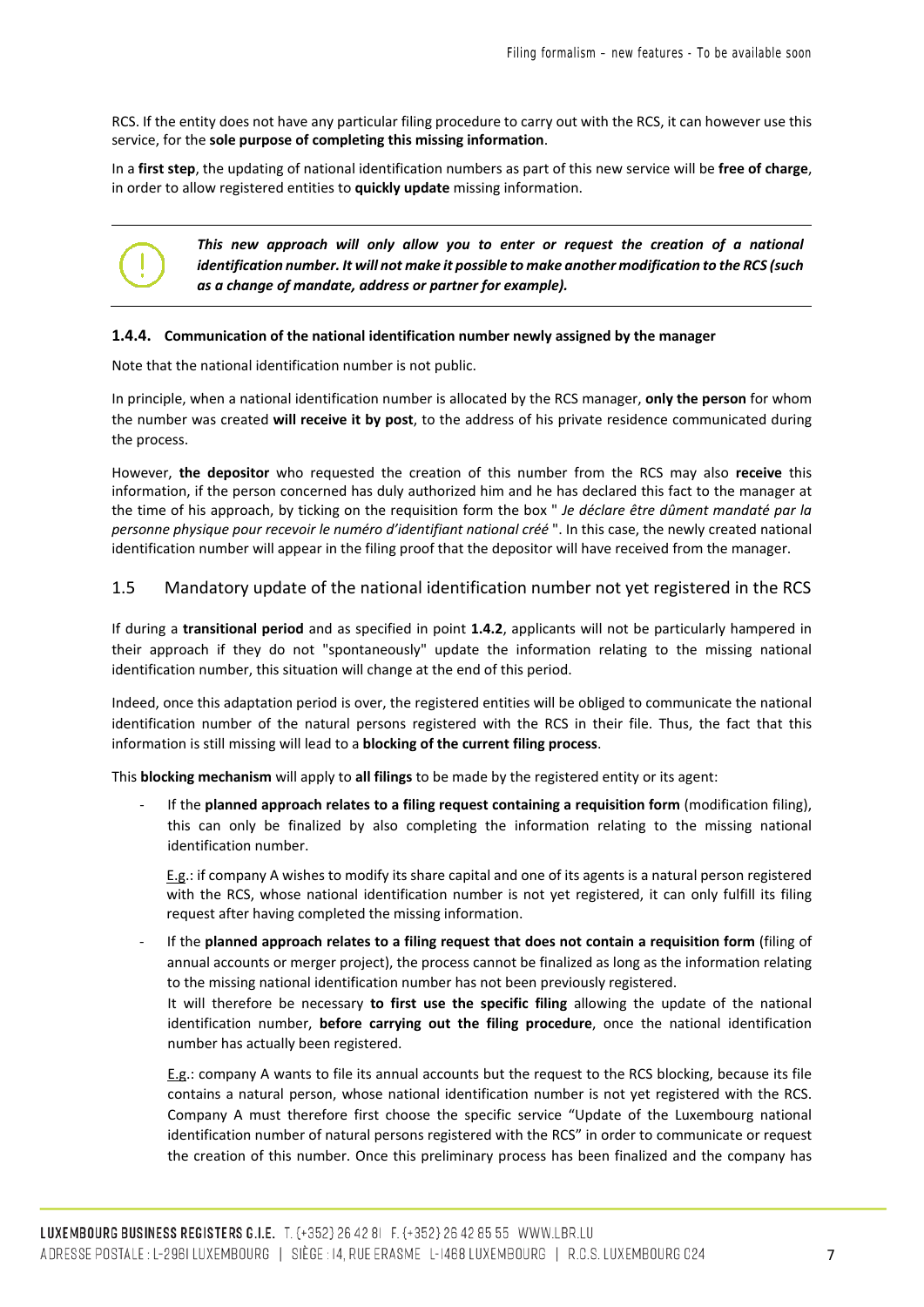RCS. If the entity does not have any particular filing procedure to carry out with the RCS, it can however use this service, for the **sole purpose of completing this missing information**.

In a **first step**, the updating of national identification numbers as part of this new service will be **free of charge**, in order to allow registered entities to **quickly update** missing information.



#### <span id="page-6-0"></span>**1.4.4. Communication of the national identification number newly assigned by the manager**

Note that the national identification number is not public.

In principle, when a national identification number is allocated by the RCS manager, **only the person** for whom the number was created **will receive it by post**, to the address of his private residence communicated during the process.

However, **the depositor** who requested the creation of this number from the RCS may also **receive** this information, if the person concerned has duly authorized him and he has declared this fact to the manager at the time of his approach, by ticking on the requisition form the box " *Je déclare être dûment mandaté par la personne physique pour recevoir le numéro d'identifiant national créé* ". In this case, the newly created national identification number will appear in the filing proof that the depositor will have received from the manager.

#### <span id="page-6-1"></span>1.5 Mandatory update of the national identification number not yet registered in the RCS

If during a **transitional period** and as specified in point **1.4.2**, applicants will not be particularly hampered in their approach if they do not "spontaneously" update the information relating to the missing national identification number, this situation will change at the end of this period.

Indeed, once this adaptation period is over, the registered entities will be obliged to communicate the national identification number of the natural persons registered with the RCS in their file. Thus, the fact that this information is still missing will lead to a **blocking of the current filing process**.

This **blocking mechanism** will apply to **all filings** to be made by the registered entity or its agent:

- If the **planned approach relates to a filing request containing a requisition form** (modification filing), this can only be finalized by also completing the information relating to the missing national identification number.

E.g.: if company A wishes to modify its share capital and one of its agents is a natural person registered with the RCS, whose national identification number is not yet registered, it can only fulfill its filing request after having completed the missing information.

- If the **planned approach relates to a filing request that does not contain a requisition form** (filing of annual accounts or merger project), the process cannot be finalized as long as the information relating to the missing national identification number has not been previously registered.

It will therefore be necessary **to first use the specific filing** allowing the update of the national identification number, **before carrying out the filing procedure**, once the national identification number has actually been registered.

E.g.: company A wants to file its annual accounts but the request to the RCS blocking, because its file contains a natural person, whose national identification number is not yet registered with the RCS. Company A must therefore first choose the specific service "Update of the Luxembourg national identification number of natural persons registered with the RCS" in order to communicate or request the creation of this number. Once this preliminary process has been finalized and the company has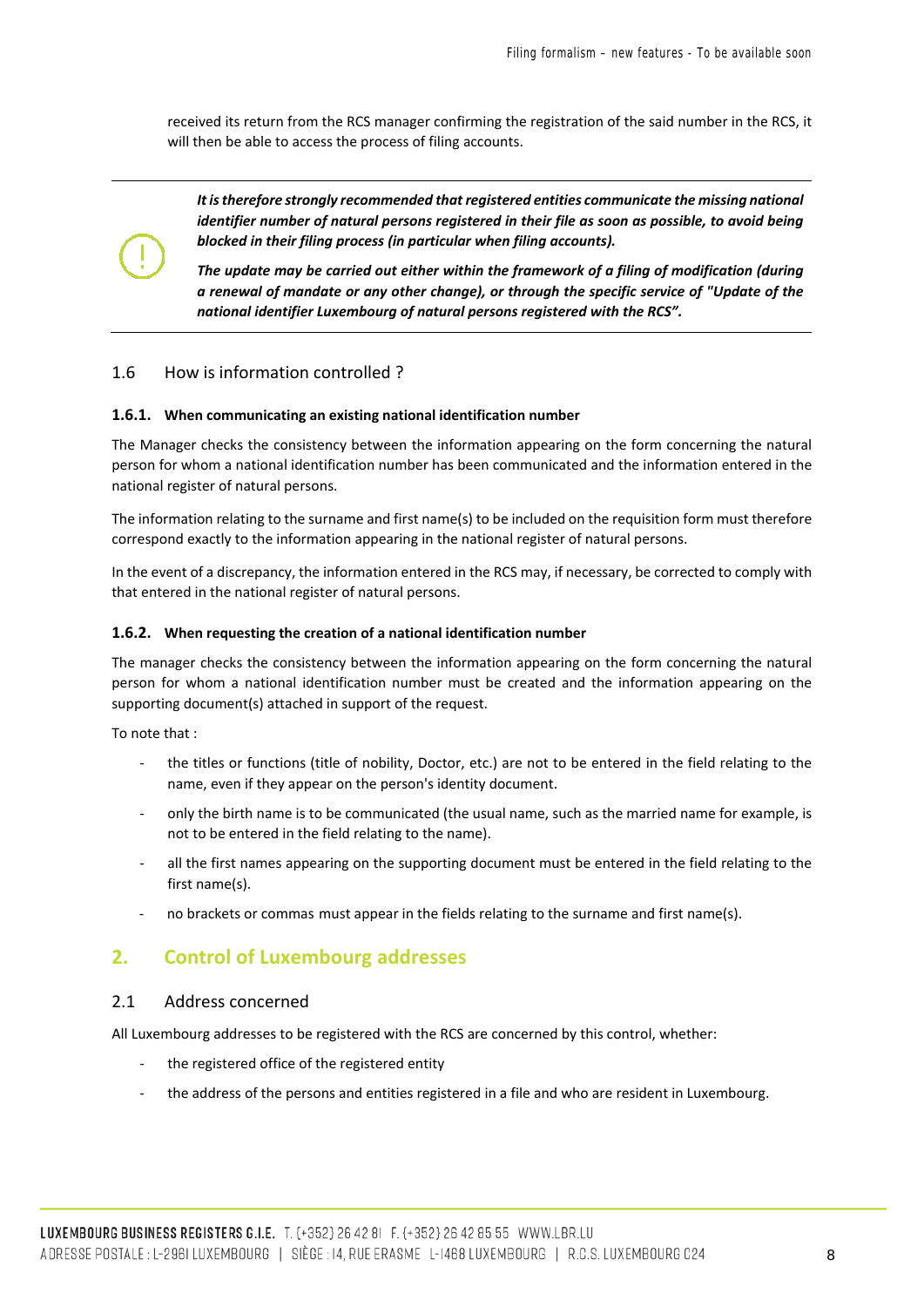received its return from the RCS manager confirming the registration of the said number in the RCS, it will then be able to access the process of filing accounts.

*It is therefore strongly recommended that registered entities communicate the missing national identifier number of natural persons registered in their file as soon as possible, to avoid being blocked in their filing process (in particular when filing accounts).* 

*The update may be carried out either within the framework of a filing of modification (during a renewal of mandate or any other change), or through the specific service of "Update of the national identifier Luxembourg of natural persons registered with the RCS".*

#### <span id="page-7-0"></span>1.6 How is information controlled ?

#### <span id="page-7-1"></span>**1.6.1. When communicating an existing national identification number**

The Manager checks the consistency between the information appearing on the form concerning the natural person for whom a national identification number has been communicated and the information entered in the national register of natural persons.

The information relating to the surname and first name(s) to be included on the requisition form must therefore correspond exactly to the information appearing in the national register of natural persons.

In the event of a discrepancy, the information entered in the RCS may, if necessary, be corrected to comply with that entered in the national register of natural persons.

#### <span id="page-7-2"></span>**1.6.2. When requesting the creation of a national identification number**

The manager checks the consistency between the information appearing on the form concerning the natural person for whom a national identification number must be created and the information appearing on the supporting document(s) attached in support of the request.

To note that :

- the titles or functions (title of nobility, Doctor, etc.) are not to be entered in the field relating to the name, even if they appear on the person's identity document.
- only the birth name is to be communicated (the usual name, such as the married name for example, is not to be entered in the field relating to the name).
- all the first names appearing on the supporting document must be entered in the field relating to the first name(s).
- no brackets or commas must appear in the fields relating to the surname and first name(s).

# <span id="page-7-3"></span>**2. Control of Luxembourg addresses**

#### <span id="page-7-4"></span>2.1 Address concerned

All Luxembourg addresses to be registered with the RCS are concerned by this control, whether:

- the registered office of the registered entity
- the address of the persons and entities registered in a file and who are resident in Luxembourg.